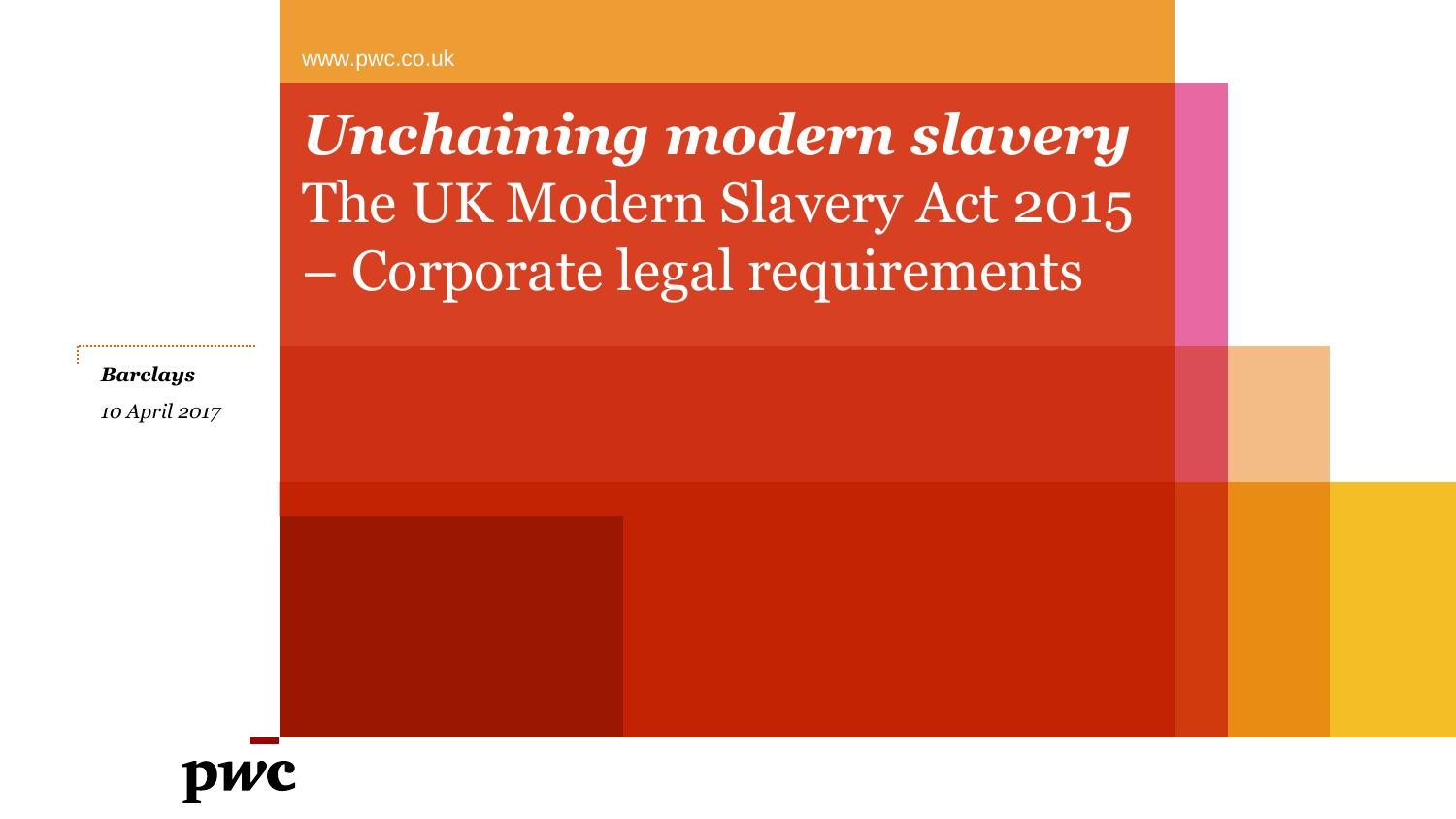www.pwc.co.uk

*Unchaining modern slavery* The UK Modern Slavery Act 2015 – Corporate legal requirements

*Barclays 10 April 2017*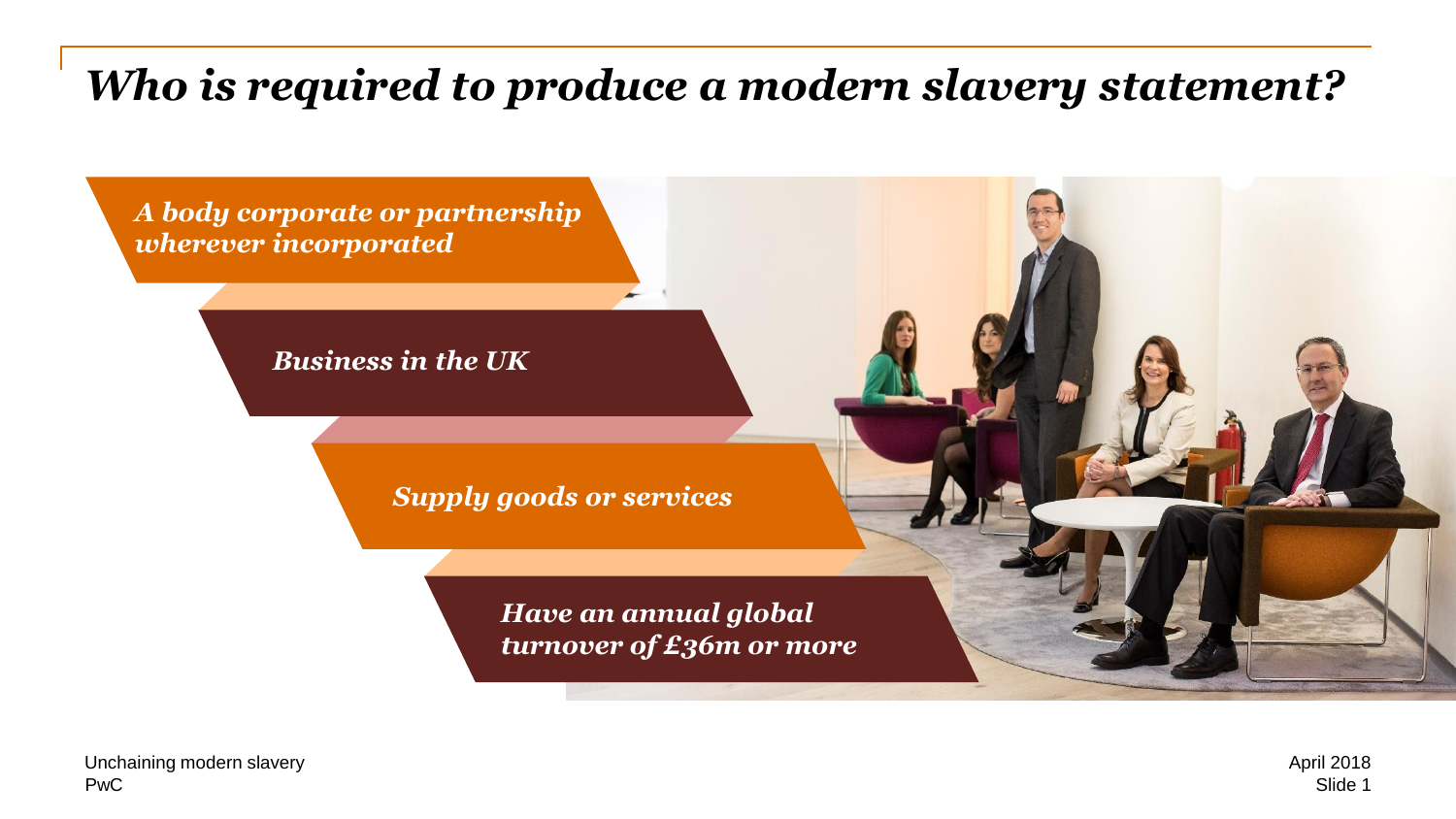# *Who is required to produce a modern slavery statement?*

*A body corporate or partnership wherever incorporated* 

*Business in the UK*

*Supply goods or services*

*Have an annual global turnover of £36m or more*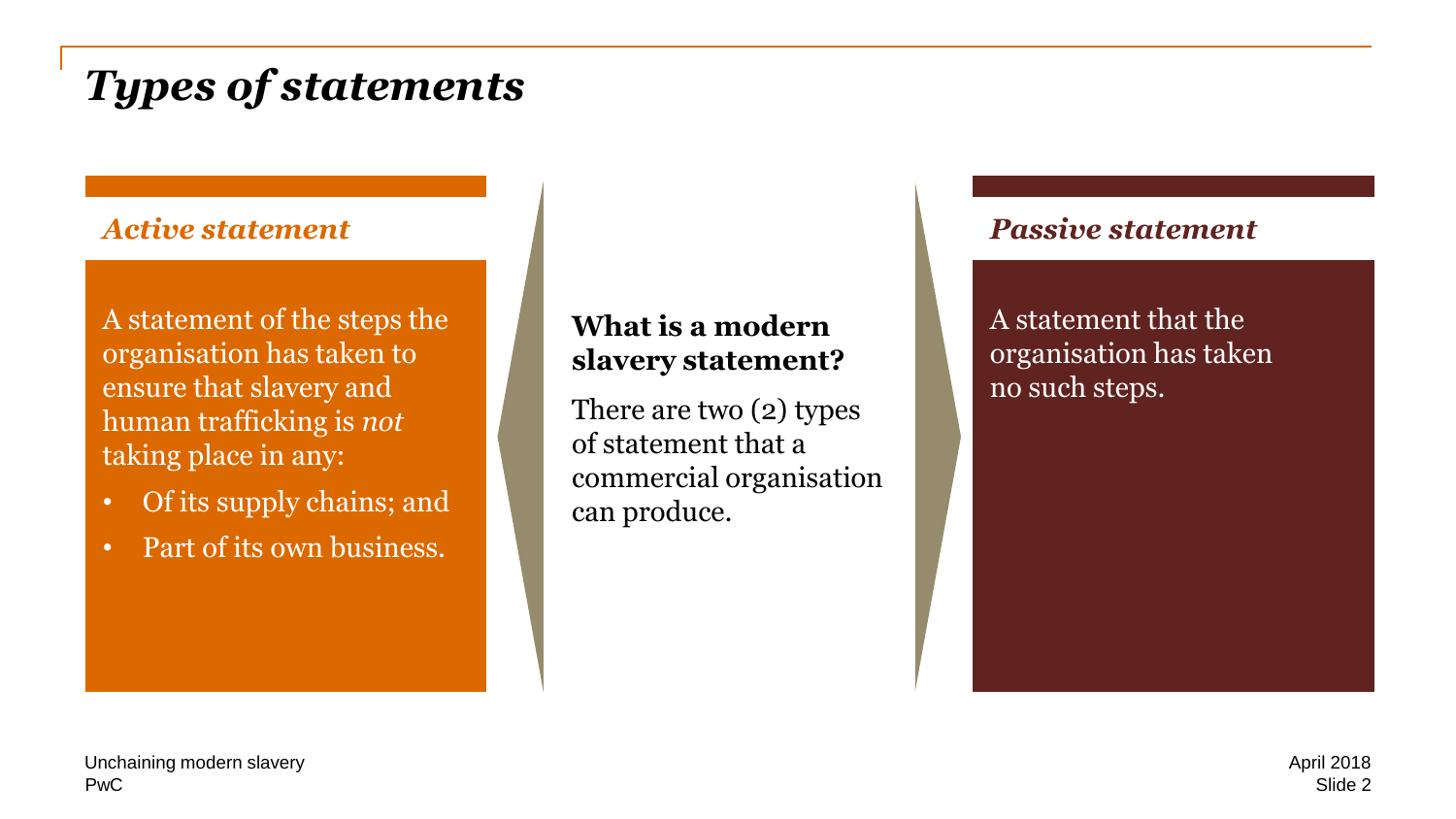# *Types of statements*

#### *Active statement*

A statement of the steps the organisation has taken to ensure that slavery and human trafficking is *not*  taking place in any:

- Of its supply chains; and
- Part of its own business.

#### **What is a modern slavery statement?**

There are two (2) types of statement that a commercial organisation can produce.

#### *Passive statement*

A statement that the organisation has taken no such steps.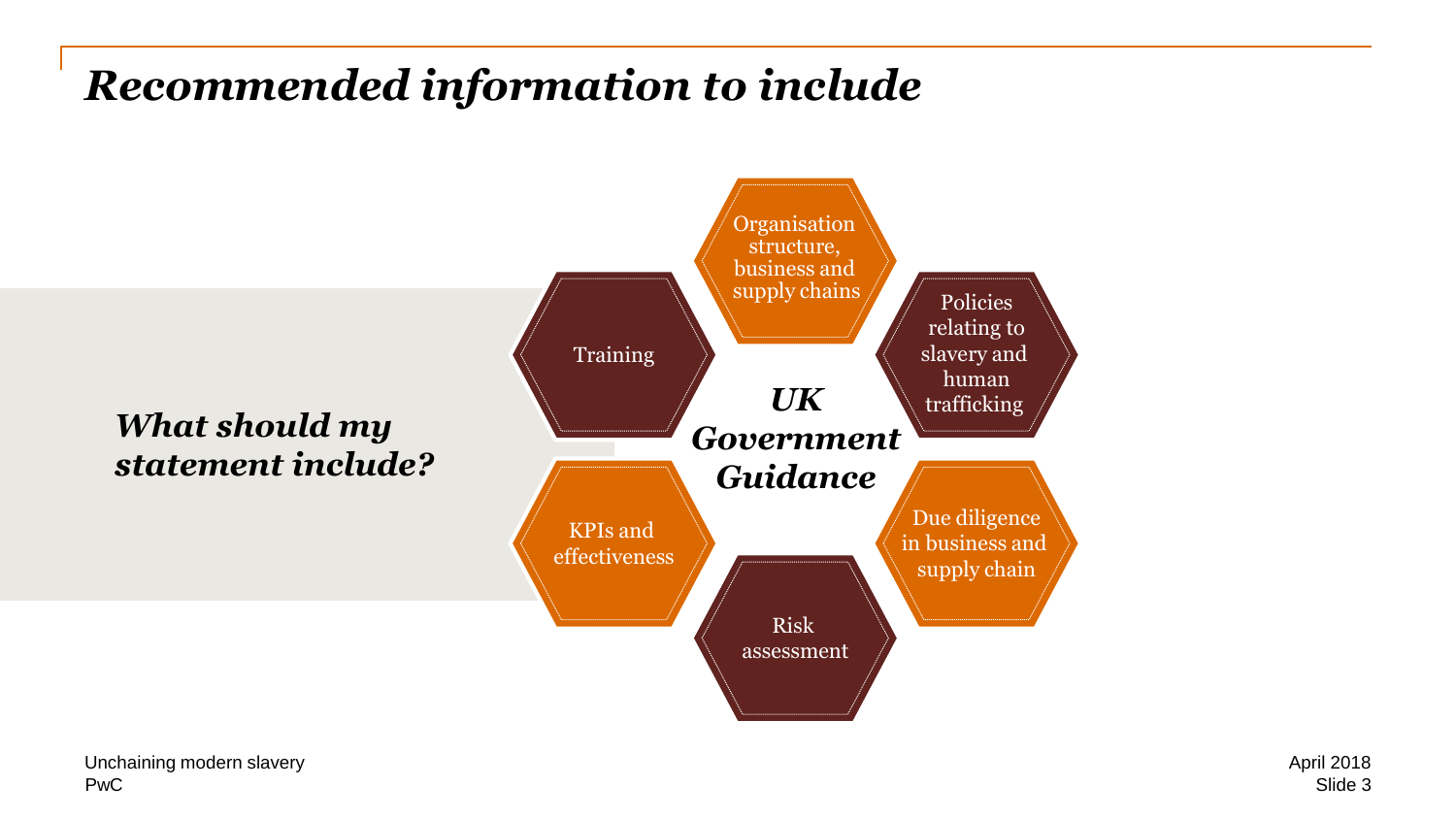# *Recommended information to include*

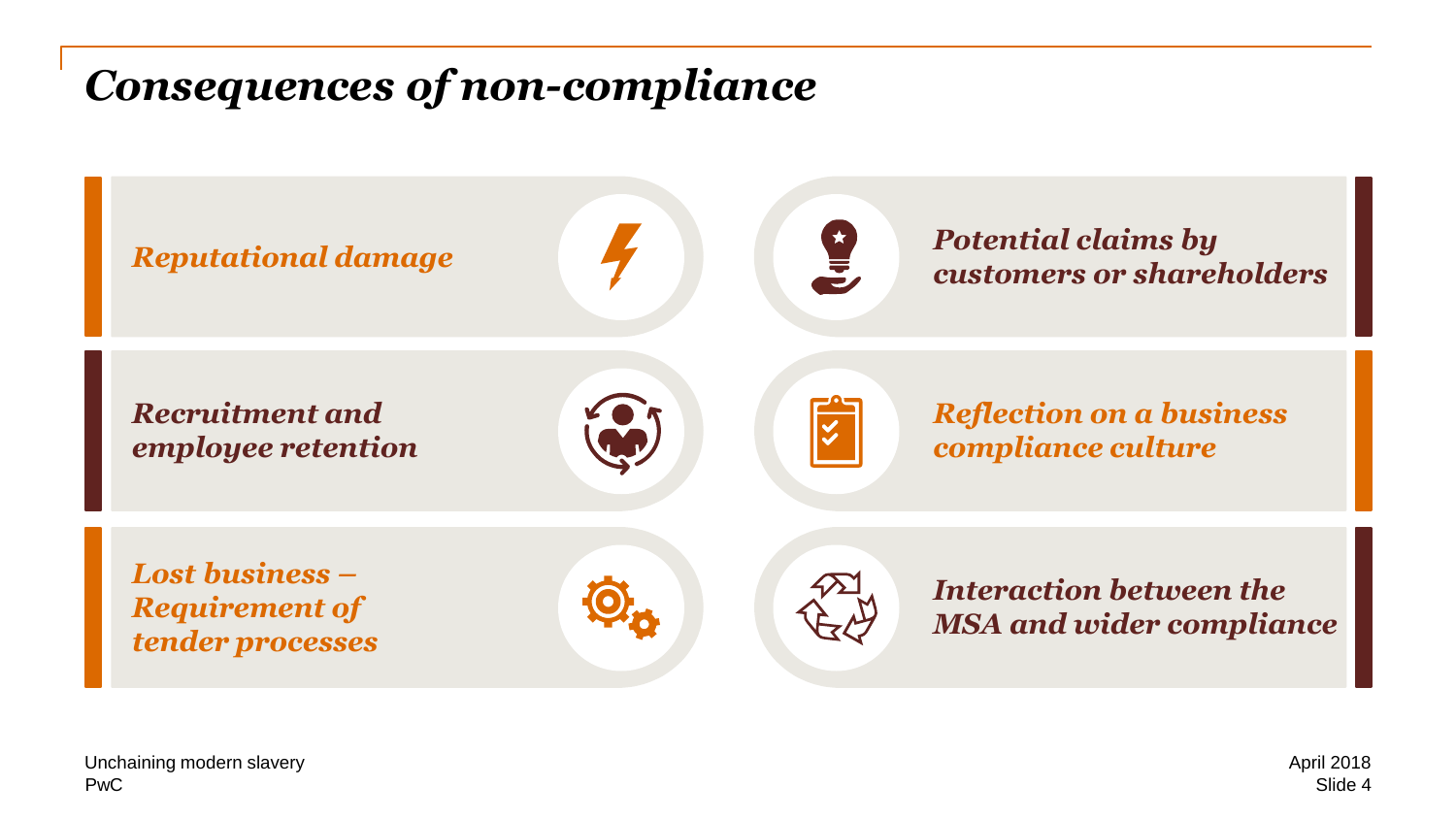### *Consequences of non-compliance*

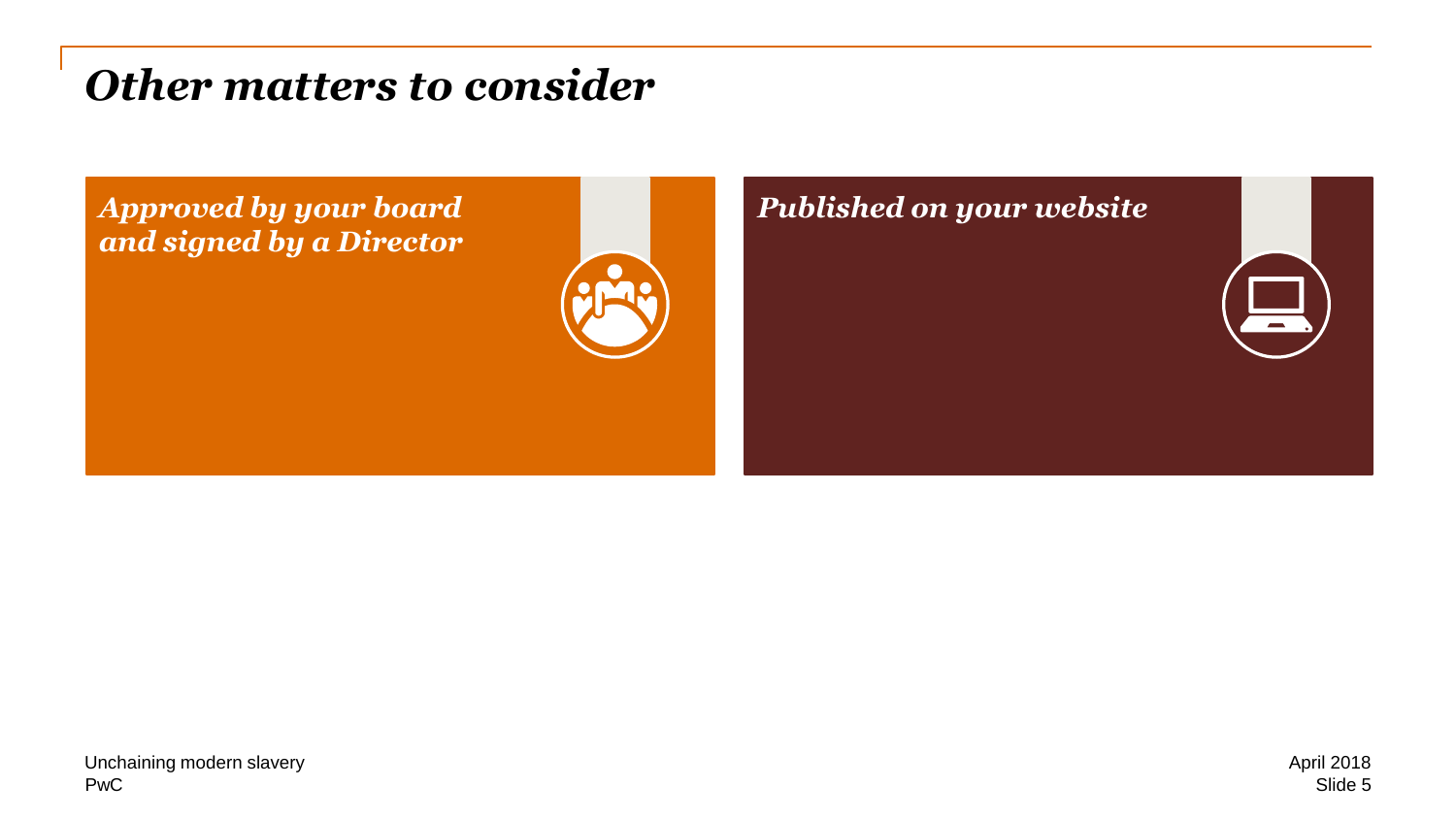### *Other matters to consider*

*Approved by your board and signed by a Director*



### *Published on your website*